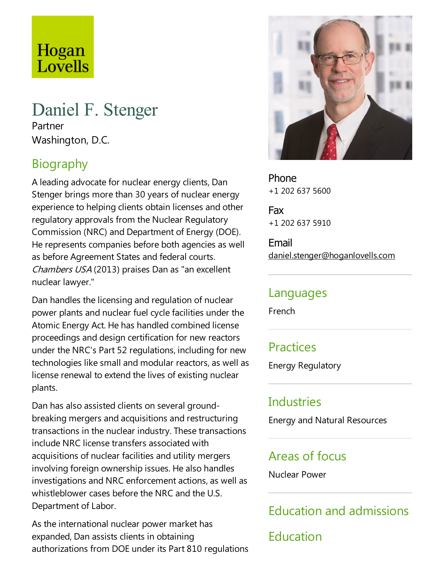# Hogan Lovells

## Daniel F. Stenger

Partner Washington, D.C.

## Biography

A leading advocate for nuclear energy clients, Dan Stenger brings more than 30 years of nuclear energy experience to helping clients obtain licenses and other regulatory approvals from the Nuclear Regulatory Commission (NRC) and Department of Energy (DOE). He represents companies before both agencies as well as before Agreement States and federal courts. Chambers USA (2013) praises Dan as "an excellent nuclear lawyer."

Dan handles the licensing and regulation of nuclear power plants and nuclear fuel cycle facilities under the Atomic Energy Act. He has handled combined license proceedings and design certification for new reactors under the NRC's Part 52 regulations, including for new technologies like small and modular reactors, as well as license renewal to extend the lives of existing nuclear plants.

Dan has also assisted clients on several groundbreaking mergers and acquisitions and restructuring transactions in the nuclear industry. These transactions include NRC license transfers associated with acquisitions of nuclear facilities and utility mergers involving foreign ownership issues. He also handles investigations and NRC enforcement actions, as well as whistleblower cases before the NRC and the U.S. Department of Labor.

As the international nuclear power market has expanded, Dan assists clients in obtaining authorizations from DOE under its Part 810 regulations



Phone +1 202 637 5600

Fax +1 202 637 5910

Email daniel.stenger@hoganlovells.com

#### Languages

French

## **Practices**

Energy Regulatory

## Industries

Energy and Natural Resources

#### Areas of focus

Nuclear Power

## Education and admissions

Education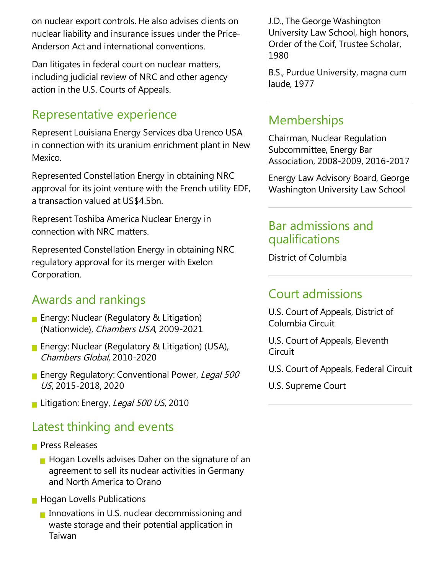on nuclear export controls. He also advises clients on nuclear liability and insurance issues under the Price-Anderson Act and international conventions.

Dan litigates in federal court on nuclear matters, including judicial review of NRC and other agency action in the U.S. Courts of Appeals.

## Representative experience

Represent Louisiana Energy Services dba Urenco USA in connection with its uranium enrichment plant in New Mexico.

Represented Constellation Energy in obtaining NRC approval for its joint venture with the French utility EDF, a transaction valued at US\$4.5bn.

Represent Toshiba America Nuclear Energy in connection with NRC matters.

Represented Constellation Energy in obtaining NRC regulatory approval for its merger with Exelon Corporation.

## Awards and rankings

- **Energy: Nuclear (Regulatory & Litigation)** (Nationwide), Chambers USA, 2009-2021
- **Energy: Nuclear (Regulatory & Litigation) (USA),** Chambers Global, 2010-2020
- **Energy Regulatory: Conventional Power, Legal 500** US, 2015-2018, 2020
- Litigation: Energy, Legal 500 US, 2010

## Latest thinking and events

- **Press Releases** 
	- $\blacksquare$  Hogan Lovells advises Daher on the signature of an agreement to sell its nuclear activities in Germany and North America to Orano
- **Hogan Lovells Publications** 
	- Innovations in U.S. nuclear decommissioning and waste storage and their potential application in Taiwan

J.D.,The George Washington University Law School, high honors, Order of the Coif, Trustee Scholar, 1980

B.S., Purdue University, magna cum laude, 1977

#### **Memberships**

Chairman, Nuclear Regulation Subcommittee, Energy Bar Association, 2008-2009, 2016-2017

Energy Law Advisory Board, George Washington University Law School

#### Bar admissions and qualifications

District of Columbia

## **Court admissions**

U.S. Court of Appeals, District of Columbia Circuit

U.S. Court of Appeals, Eleventh Circuit

U.S. Court of Appeals, Federal Circuit

U.S. Supreme Court